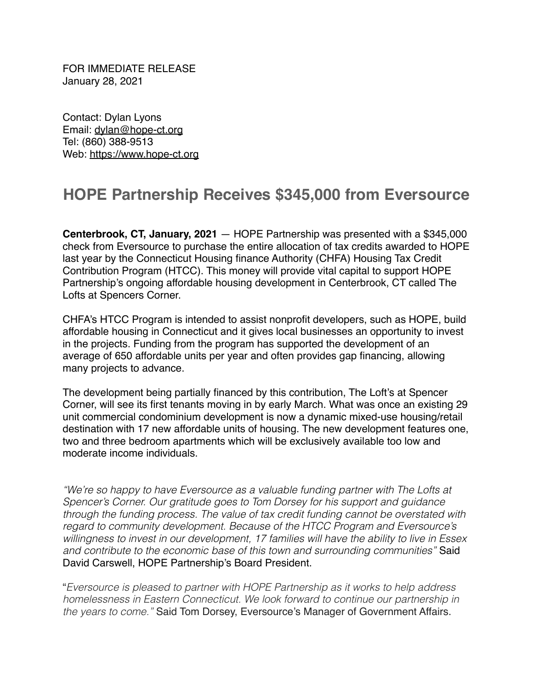FOR IMMEDIATE RELEASE January 28, 2021

Contact: Dylan Lyons Email: [dylan@hope-ct.org](mailto:dylan@hope-ct.org) Tel: (860) 388-9513 Web:<https://www.hope-ct.org>

## **HOPE Partnership Receives \$345,000 from Eversource**

**Centerbrook, CT, January, 2021** — HOPE Partnership was presented with a \$345,000 check from Eversource to purchase the entire allocation of tax credits awarded to HOPE last year by the Connecticut Housing finance Authority (CHFA) Housing Tax Credit Contribution Program (HTCC). This money will provide vital capital to support HOPE Partnership's ongoing affordable housing development in Centerbrook, CT called The Lofts at Spencers Corner.

CHFA's HTCC Program is intended to assist nonprofit developers, such as HOPE, build affordable housing in Connecticut and it gives local businesses an opportunity to invest in the projects. Funding from the program has supported the development of an average of 650 affordable units per year and often provides gap financing, allowing many projects to advance.

The development being partially financed by this contribution, The Loft's at Spencer Corner, will see its first tenants moving in by early March. What was once an existing 29 unit commercial condominium development is now a dynamic mixed-use housing/retail destination with 17 new affordable units of housing. The new development features one, two and three bedroom apartments which will be exclusively available too low and moderate income individuals.

*"We're so happy to have Eversource as a valuable funding partner with The Lofts at Spencer's Corner. Our gratitude goes to Tom Dorsey for his support and guidance through the funding process. The value of tax credit funding cannot be overstated with regard to community development. Because of the HTCC Program and Eversource's willingness to invest in our development, 17 families will have the ability to live in Essex and contribute to the economic base of this town and surrounding communities"* Said David Carswell, HOPE Partnership's Board President.

"*Eversource is pleased to partner with HOPE Partnership as it works to help address homelessness in Eastern Connecticut. We look forward to continue our partnership in the years to come."* Said Tom Dorsey, Eversource's Manager of Government Affairs.